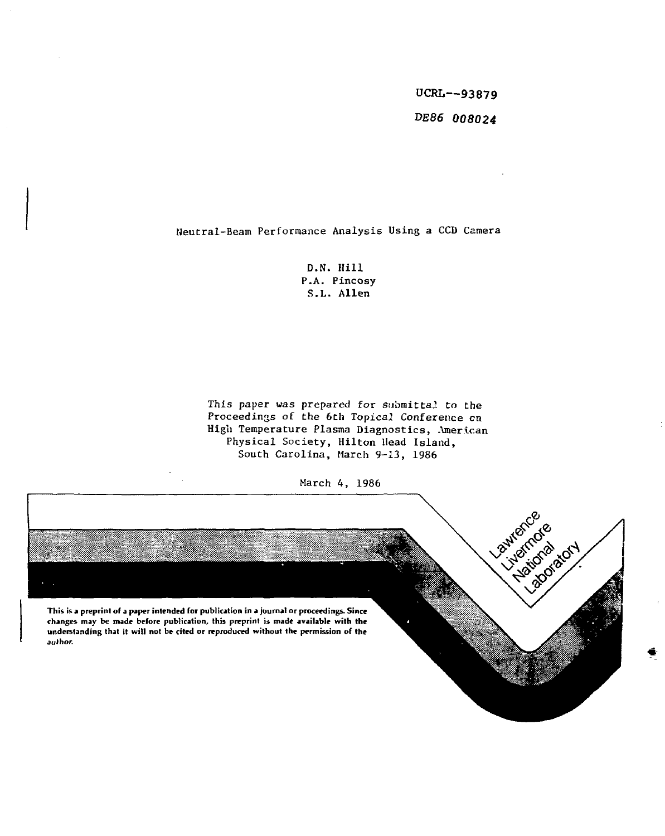UCRL—**93879 DE86 008024** 

Neutral-Beam Performance Analysis Using a CCD Camera

D.N. Hill P.A. Pincosy S.L. Allen

This paper was prepared for submittal to the Proceedings of the 6th Topicai Conference en High Temperature Plasma Diagnostics, American Physical Society, Hilton Head Island, South Carolina, March 9-13, 1986

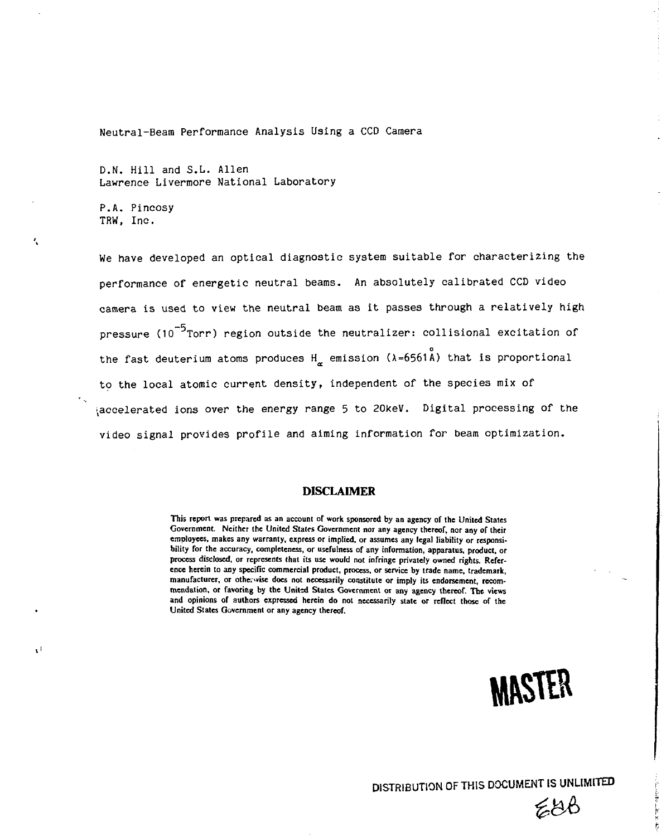Neutral-Beam Performance Analysis Using a CCD Camera

D.N. Hill and S.L. Allen Lawrence Livermore National Laboratory

P.A. Pincosy TRW, Inc.

Ü

We have developed an optical diagnostic system suitable for characterizing the performance of energetic neutral beams. An absolutely calibrated CCD video camera is used to view the neutral beam as it passes through a relatively high pressure (10<sup>-5</sup>Torr) region outside the neutralizer: collisional excitation of the fast deuterium atoms produces  $H_{\sim}$  emission ( $\lambda = 6561$ A) that is proportional to the local atomic current density, independent of the species mix of video signal provides profile and aiming information for beam optimization.

## **DISCLAIMER**

**This report was prepared as an account of work sponsored by an agency of the United States Government. Neither the United States Government nor any agency thereof, nor any of their employees, makes any warranty, express or implied, or assumes any legal liability or responsibility for the accuracy, completeness, or usefulness of any information, apparatus, product, or process disclosed, or represents that its use would not infringe privately owned rights. Reference herein to any specific commercial product, process, or service by trade name, trademark,**  manufacturer, or otherwise does not necessarily constitute or imply its endorsement, recom**mendation, or favoring by the United States Government or any agency thereof. The views and opinions of authors expressed herein do not necessarily state or reflect those of the United States Government or any agency thereof.** 



EUC

ķ

**DISTRIBUTION OF THIS DOCUMENT IS UNLIMITED**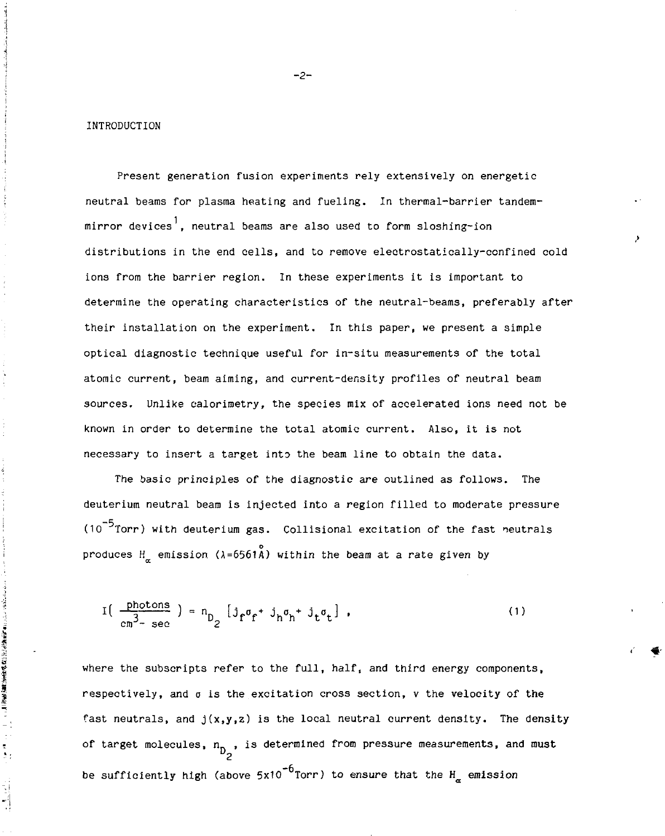INTRODUCTION

 $\frac{1}{\epsilon}$  $\frac{1}{2}$ 

Present generation fusion experiments rely extensively on energetic neutral beams for plasma heating and fueling. In thermal-barrier tandemmirror devices<sup>1</sup>. neutral beams are also used to form sloshing-ion distributions in the end cells, and to remove electrostatically-confined cold ions from the barrier region. In these experiments it is important to determine the operating characteristics of the neutral-beams, preferably after their installation on the experiment. In this paper, we present a simple optical diagnostic technique useful for in-situ measurements of the total atomic current, beam aiming, and current-density profiles of neutral beam sources. Unlike calorimetry, the species mix of accelerated ions need not be known in order to determine the total atomic current. Also, it is not necessary to insert a target into the beam line to obtain the data.

The basic principles of the diagnostic are outlined as follows. The deuterium neutral beam is injected into a region filled to moderate pressure  $(10^{-5}$  Torr) with deuterium gas. Collisional excitation of the fast neutrals produces  $H_{\alpha}$  emission ( $\lambda = 6561\text{\AA}$ ) within the beam at a rate given by

$$
I\left(\begin{array}{c}\frac{\text{photons}}{\text{cm}^3-\text{sec}}\end{array}\right)=n_{D_2}\left[j_f\sigma_f+j_h\sigma_h+j_t\sigma_t\right],\qquad(1)
$$

where the subscripts refer to the full, half, and third energy components, respectively, and  $\sigma$  is the excitation cross section,  $v$  the velocity of the fast neutrals, and  $j(x,y,z)$  is the local neutral current density. The density of target molecules,  $n_{D_2}$ , is determined from pressure measurements, and must be sufficiently high (above  $5x10^{-6}$ Torr) to ensure that the H<sub>r</sub> emission

-2-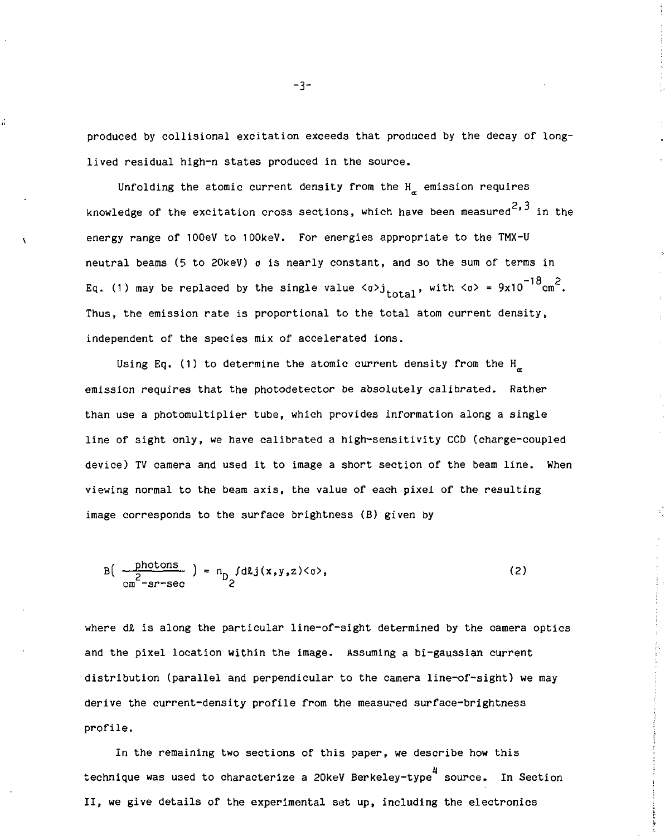produced by collisional excitation exceeds that produced by the decay of longlived residual high-n states produced in the source.

Unfolding the atomic current density from the  $H_{\pi}$  emission requires knowledge of the excitation cross sections, which have been measured<sup>2,3</sup> in the energy range of lOOeV to lOOkeV. For energies appropriate to the TMX-U neutral beams (5 to 20keV) o is nearly constant, and so the sum of terms in Eq. (1) may be replaced by the single value  $\langle \sigma v \rangle$ <sub>total</sub>, with  $\langle \sigma v \rangle = 9x10^{-18}$  cm<sup>2</sup>. Thus, the emission rate is proportional to the total atom current density, independent of the species mix of accelerated ions.

Using Eq. (1) to determine the atomic current density from the H<sub> $_{\alpha}$ </sub> emission requires that the photodetector be absolutely calibrated. Rather than use a photomultiplier tube, which provides information along a single line of sight only, we have calibrated a high-sensitivity CCD (charge-coupled device) TV camera and used it to image a short section of the beam line. When viewing normal to the beam axis, the value of each pixel of the resulting image corresponds to the surface brightness (B) given by

$$
B\left(\begin{array}{c}\text{photons} \\ \frac{2}{cm} - \text{sr-sec}\end{array}\right) = n_{D} f \text{d} \text{L} j(x, y, z) \langle \sigma \rangle, \tag{2}
$$

where  $d\ell$  is along the particular line-of-sight determined by the camera optics and the pixel location within the image. Assuming a bi-gaussian current distribution (parallel and perpendicular to the camera line-of-sight) we may derive the current-density profile from the measured surface-brightness profile.

In the remaining two sections of this paper, we describe how this technique was used to characterize a 20keV Berkeley-type<sup>4</sup> source. In Section II, we give details of the experimental set up, including the electronics

-3-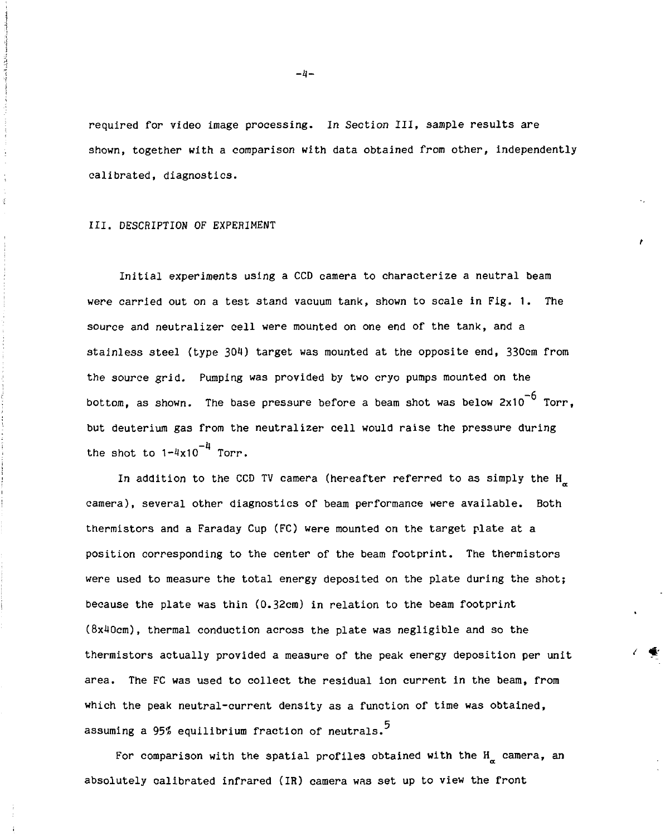required for video image processing. In Section III, sample results are shown, together with a comparison with data obtained from other, independently calibrated, diagnostics.

## III. DESCRIPTION OF EXPERIMENT

Initial experiments using a CCD camera to characterize a neutral beam were carried out on a test stand vacuum tank, shown to scale in Fig. 1. The source and neutralizer cell were mounted on one end of the tank, and a stainless steel (type 304) target was mounted at the opposite end, 330cm from the source grid. Pumping was provided by two cryo pumps mounted on the bottom, as shown. The base pressure before a beam shot was below  $2x10^{-6}$  Torr. but deuterium gas from the neutralizer cell would raise the pressure during the shot to  $1-4x10^{-4}$  Torr.

In addition to the CCD TV camera (hereafter referred to as simply the H\_ camera), several other diagnostics of beam performance were available. Both  $t_{\rm eff}$  and a Faraday Cup (FC) were mounted on the target plate at a  $t_{\rm eff}$ position corresponding to the center of the beam footprint. The thermistors were used to measure the total energy deposited on the plate during the shot; because the plate was thin (0.32cm) in relation to the beam footprint (8x40cm), thermal conduction across the plate was negligible and so the thermistors actually provided a measure of the peak energy deposition per unit area. The FC was used to collect the residual ion current in the beam, from which the peak neutral-current density as a function of time was obtained, assuming a 95% equilibrium fraction of neutrals.<sup>5</sup>

For comparison with the spatial profiles obtained with the  $H_{\mu}$  camera, an absolutely calibrated infrared (IR) camera was set up to view the front

 $-4-$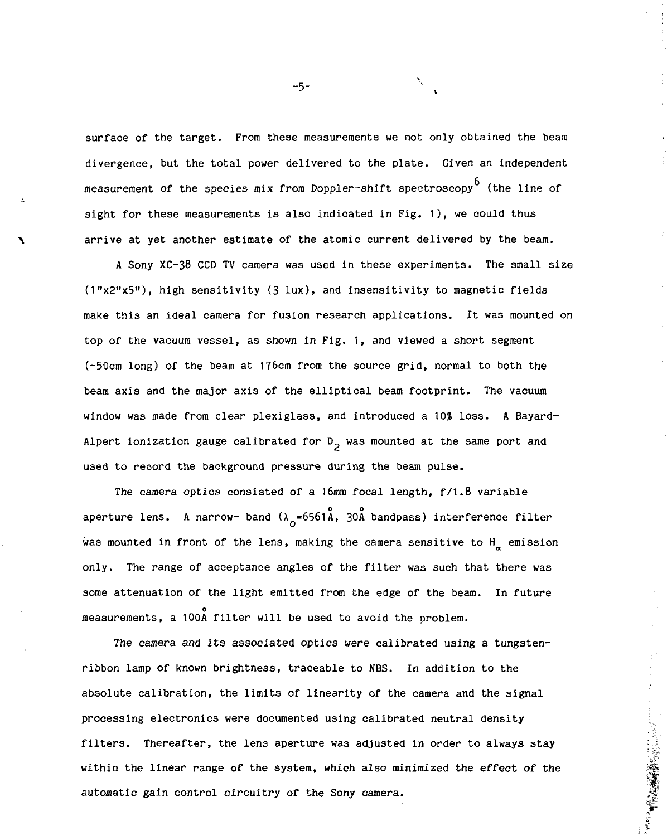surface of the target. From these measurements we not only obtained the beam divergence, but the total power delivered to the plate. Given an independent measurement of the species mix from Doppler-shift spectroscopy  $^6$  (the line of sight for these measurements is also indicated in Fig. 1), we could thus arrive at yet another estimate of the atomic current delivered by the beam.

A Sony XC-38 CCD TV camera was used in these experiments. The small size (1"x2"x5"), high sensitivity (3 lux), and insensitivity to magnetic fields make this an ideal camera for fusion research applications. It was mounted on top of the vacuum vessel, as shown in Fig. 1, and viewed a short segment (-50cm long) of the beam at 176cm from the source grid, normal to both the beam axis and the major axis of the elliptical beam footprint. The vacuum window was made from clear plexiglass, and introduced a 10% loss. A Bayard-Alpert ionization gauge calibrated for  $D_2$  was mounted at the same port and used to record the background pressure during the beam pulse.

The camera optics consisted of a 16mm focal length,  $f/1.8$  variable aperture lens. A narrow- band  $(\lambda_6 = 6561\text{\AA}, 30\text{\AA})$  bandpass) interference filter was mounted in front of the lens, making the camera sensitive to H<sub>a</sub> emission some attenuation of the light emitted from the edge of the beam. In future some attenuation of the light emitted from the edge of the beam. In future  $\sigma$ a,

The camera and its associated optics were calibrated using a tungstenribbon lamp of known brightness, traceable to NBS. In addition to the absolute calibration, the limits of linearity of the camera and the signal processing electronics were documented using calibrated neutral density filters. Thereafter, the lens aperture was adjusted in order to always stay within the linear range of the system, which also minimized the effect of the automatic gain control circuitry of the Sony camera.

-5-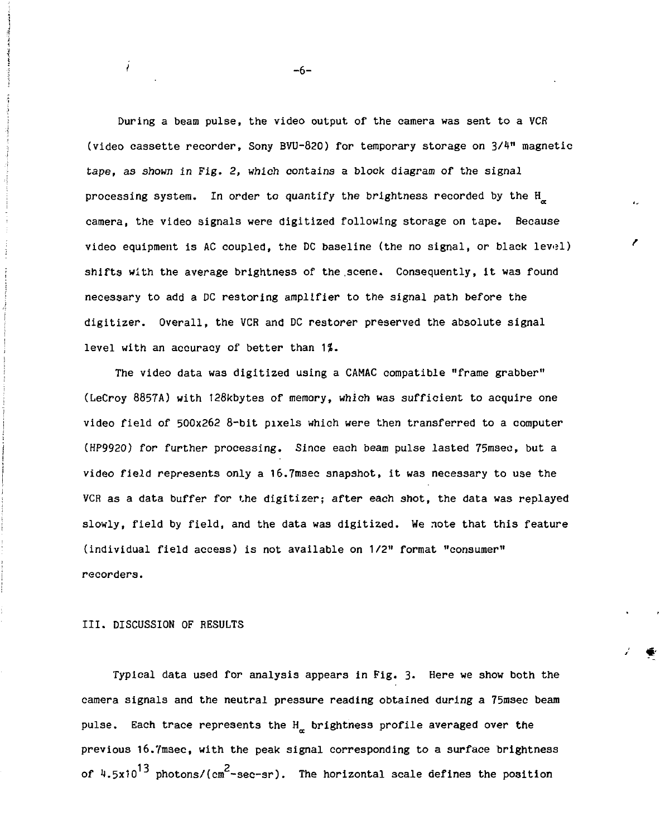During a beam pulse, the video output of the camera was sent to a VCR (video cassette recorder, Sony BVU-820) for temporary storage on 3/1\*" magnetic tape, as shown in Fig. 2, which contains a block diagram of the signal processing system. In order to quantify the brightness recorded by the H camera, the video signals were digitized following storage on tape. Because video equipment is AC coupled, the DC baseline (the no signal, or black level) shifts with the average brightness of the scene. Consequently, it was found necessary to add a DC restoring amplifier to the signal path before the digitizer. Overall, the VCR and DC restorer preserved the absolute signal level with an accuracy of better than  $1\%$ .

The video data was digitized using a CAMAC compatible "frame grabber" (LeCroy 8857A) with 128kbytes of memory, which was sufficient to acquire one video field of 500x262 8-bit pixels which were then transferred to a computer (HP9920) for further processing. Since each beam pulse lasted 75msec, but a video field represents only a 16.7msec snapshot, it was necessary to use the VCR as a data buffer for the digitizer; after each shot, the data was replayed slowly, field by field, and the data was digitized. We note that this feature (individual field access) is not available on 1/2" format "consumer" recorders.

III. DISCUSSION OF RESULTS

ź.

Typical data used for analysis appears in Fig. 3. Here we show both the camera signals and the neutral pressure reading obtained during a 75msec beam pulse. Each trace represents the  $H_{\mu}$  brightness profile averaged over the previous 16.7msec, with the peak signal corresponding to a surface brightness  $13$  photons  $l$  ( $m^2$ – of Jj.5x10 photons/(cm -sec-sr). The horizontal 3cale defines the position

-6-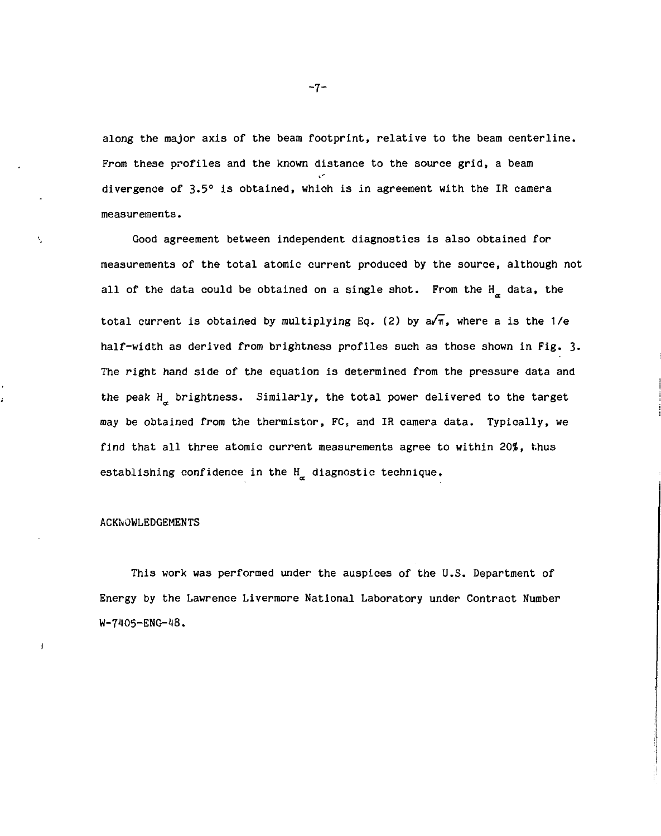along the major axis of the beam footprint, relative to the beam centerline. From these profiles and the known distance to the source grid, a beam divergence of 3-5° is obtained, which is in agreement with the IR camera measurements.

Good agreement between independent diagnostics is also obtained for measurements of the total atomic current produced by the source, although not all of the data could be obtained on a single shot. From the  $H_{\alpha}$  data, the total current is obtained by multiplying Eq. (2) by  $a/\pi$ , where a is the  $1/e$ half-width as derived from brightness profiles such as those shown in Fig. 3. The right hand side of the equation is determined from the pressure data and the peak H brightness. Similarly, the total power delivered to the target may be obtained from the thermistor, FC, and IR camera data. Typically, we find that all three atomic current measurements agree to within 20%, thus establishing confidence in the  $H_{\alpha}$  diagnostic technique.

## ACKNOWLEDGEMENTS

 $\boldsymbol{\zeta}$ 

J

This work was performed under the auspices of the U.S. Department of Energy by the Lawrence Livermore National Laboratory under Contract Number W-7405-ENG-48.

-7-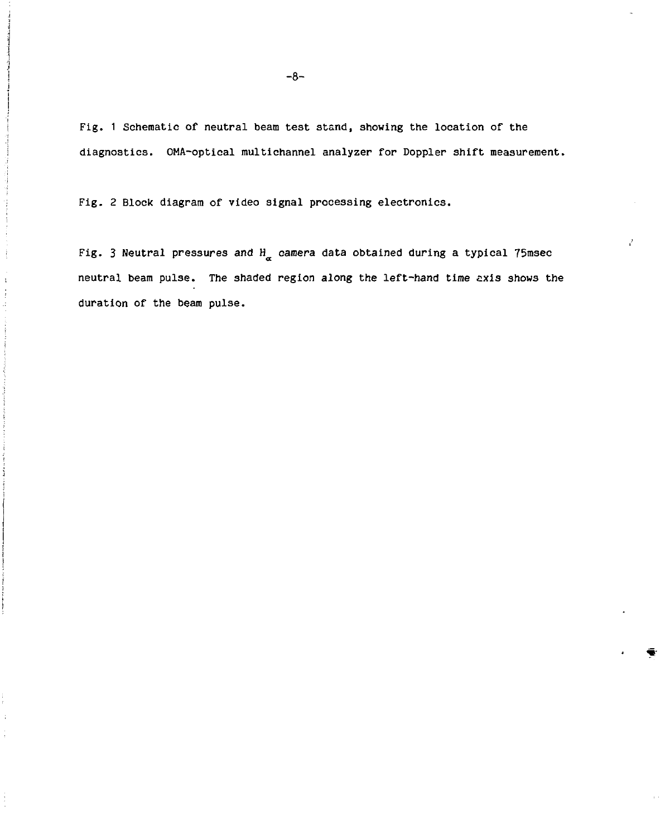Fig. 1 Schematic of neutral beam test stand, showing the location of the diagnostics. OMA-optical multichannel analyzer for Doppler shift measurement.

Fig. 2 Block diagram of video signal processing electronics.

 $\pm$ 

Fig. 3 Neutral pressures and  $H_{\alpha}$  camera data obtained during a typical 75msec neutral beam pulse. The shaded region along the left-hand time axis shows the duration of the beam pulse.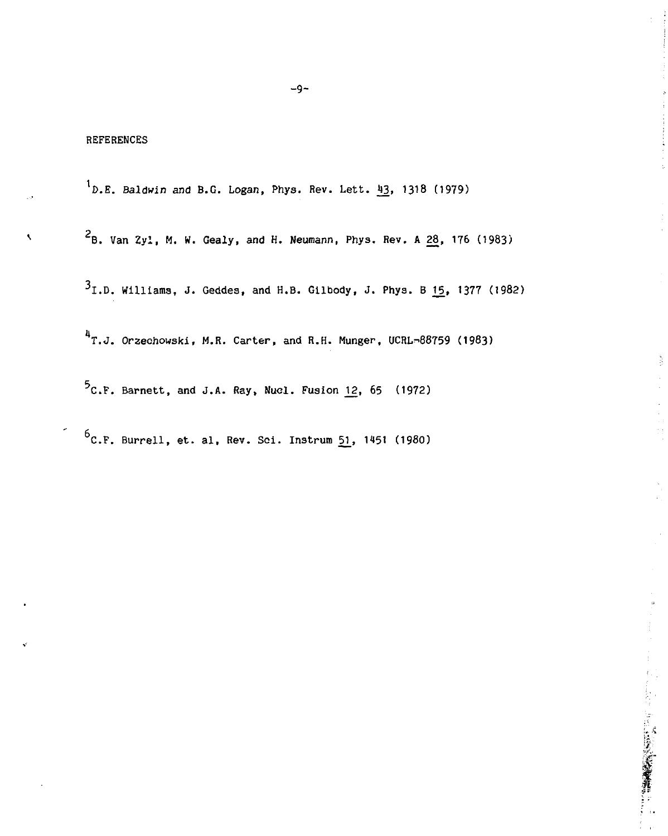$\overline{\phantom{a}}$ 

<sup>1</sup>D.E. Baldwin and B.G. Logan, Phys. Rev. Lett. <sup>43</sup>, 1318 (1979)

 $2_B$ . Van Zyl, M. W. Gealy, and H. Neumann, Phys. Rev. A 28, 176 (1983)

I.D. Williams, J. Geddes, and H.B. Gilbody, J. Phys. B *]5\_,* 1377 (1982)

 $\frac{1}{2}$ 

→ Part の Part の Part の Part の Part の Part の Part の Part の Part の Part の Part の Part の Part の Part の Part の Par

 $4$ T.J. Orzechowski, M.R. Carter, and R.H. Munger, UCRL-88759 (1983)

 $5$ C.F. Barnett, and J.A. Ray, Nucl. Fusion 12, 65 (1972)

 $6$ C.F. Burrell, et. al, Rev. Sci. Instrum 51, 1451 (1980)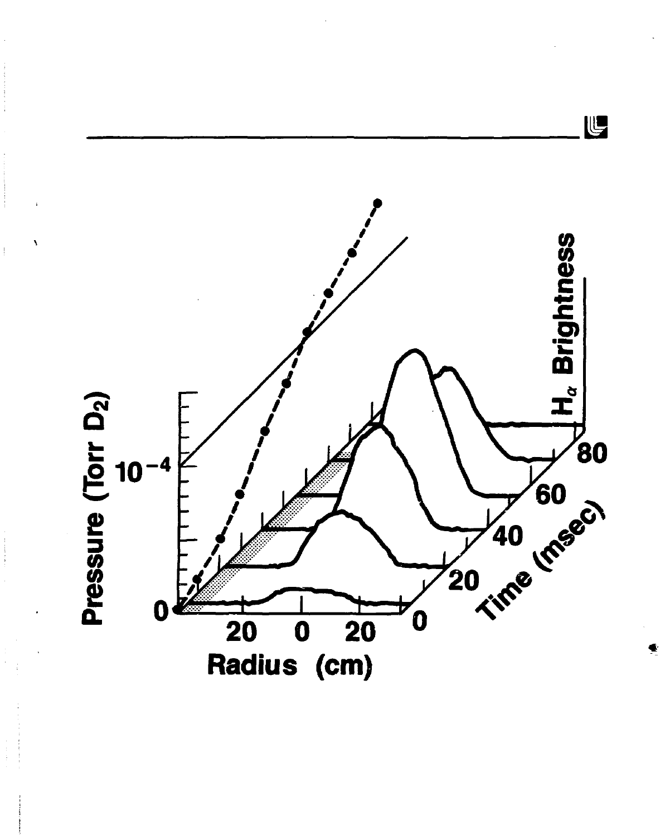

 $\frac{1}{2}$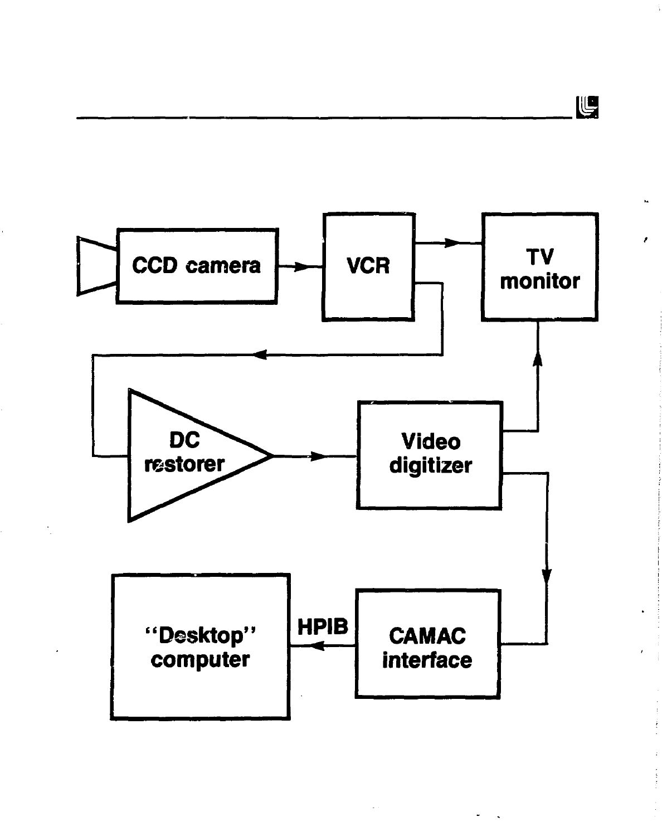